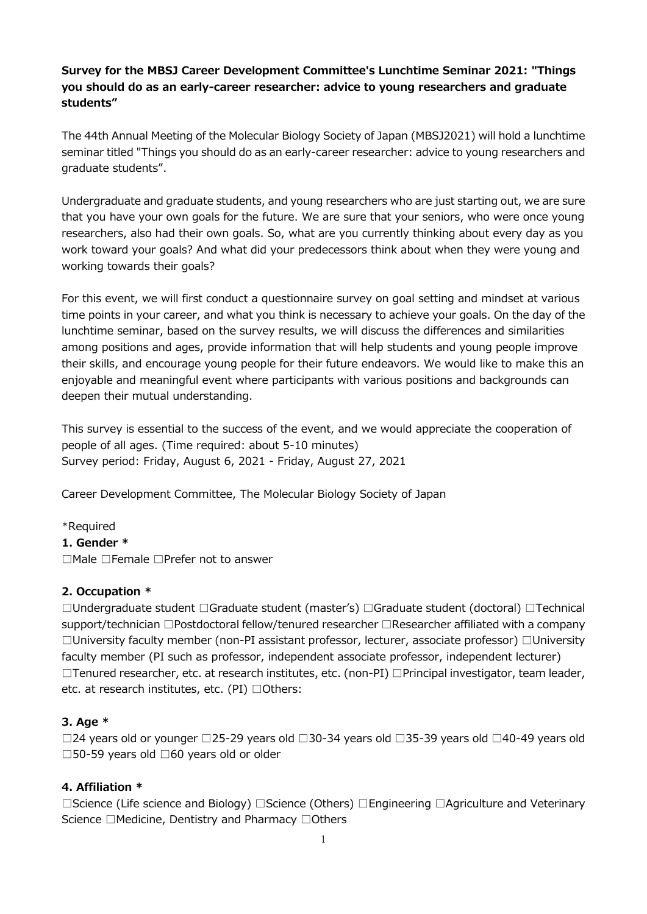# **Survey for the MBSJ Career Development Committee's Lunchtime Seminar 2021: "Things you should do as an early-career researcher: advice to young researchers and graduate students"**

The 44th Annual Meeting of the Molecular Biology Society of Japan (MBSJ2021) will hold a lunchtime seminar titled "Things you should do as an early-career researcher: advice to young researchers and graduate students".

Undergraduate and graduate students, and young researchers who are just starting out, we are sure that you have your own goals for the future. We are sure that your seniors, who were once young researchers, also had their own goals. So, what are you currently thinking about every day as you work toward your goals? And what did your predecessors think about when they were young and working towards their goals?

For this event, we will first conduct a questionnaire survey on goal setting and mindset at various time points in your career, and what you think is necessary to achieve your goals. On the day of the lunchtime seminar, based on the survey results, we will discuss the differences and similarities among positions and ages, provide information that will help students and young people improve their skills, and encourage young people for their future endeavors. We would like to make this an enjoyable and meaningful event where participants with various positions and backgrounds can deepen their mutual understanding.

This survey is essential to the success of the event, and we would appreciate the cooperation of people of all ages. (Time required: about 5-10 minutes) Survey period: Friday, August 6, 2021 - Friday, August 27, 2021

Career Development Committee, The Molecular Biology Society of Japan

## \*Required

**1. Gender \***

□Male □Female □Prefer not to answer

## **2. Occupation \***

□Undergraduate student □Graduate student (master's) □Graduate student (doctoral) □Technical support/technician □Postdoctoral fellow/tenured researcher □Researcher affiliated with a company □University faculty member (non-PI assistant professor, lecturer, associate professor) □University faculty member (PI such as professor, independent associate professor, independent lecturer) □Tenured researcher, etc. at research institutes, etc. (non-PI) □Principal investigator, team leader, etc. at research institutes, etc. (PI) □Others:

#### **3. Age \***

□24 years old or younger □25-29 years old □30-34 years old □35-39 years old □40-49 years old □50-59 years old □60 years old or older

## **4. Affiliation \***

□Science (Life science and Biology) □Science (Others) □Engineering □Agriculture and Veterinary Science □Medicine, Dentistry and Pharmacy □Others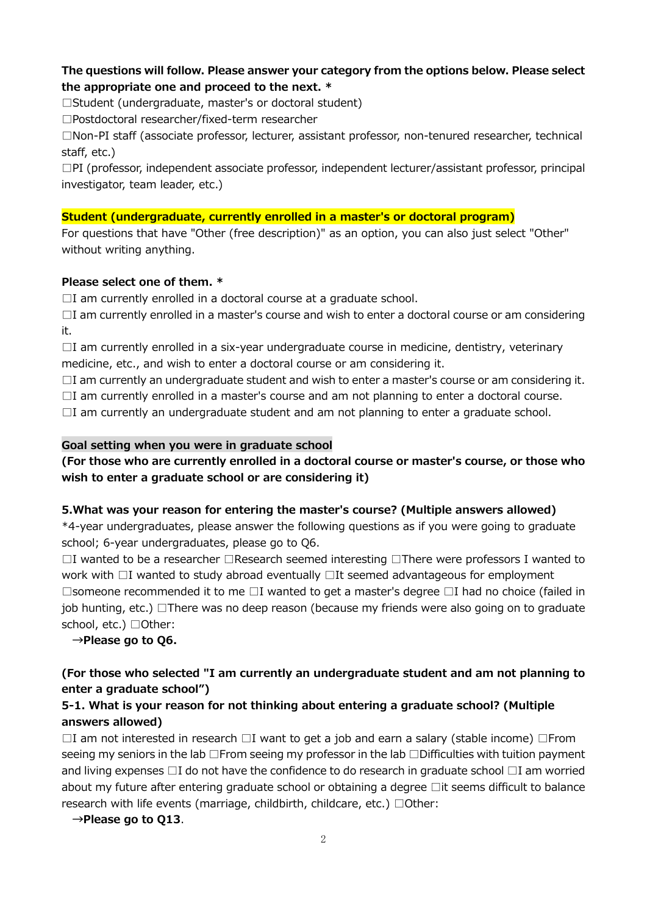### **The questions will follow. Please answer your category from the options below. Please select the appropriate one and proceed to the next. \***

□Student (undergraduate, master's or doctoral student)

□Postdoctoral researcher/fixed-term researcher

□Non-PI staff (associate professor, lecturer, assistant professor, non-tenured researcher, technical staff, etc.)

 $\square$ PI (professor, independent associate professor, independent lecturer/assistant professor, principal investigator, team leader, etc.)

#### **Student (undergraduate, currently enrolled in a master's or doctoral program)**

For questions that have "Other (free description)" as an option, you can also just select "Other" without writing anything.

#### **Please select one of them. \***

 $\Box$ I am currently enrolled in a doctoral course at a graduate school.

□I am currently enrolled in a master's course and wish to enter a doctoral course or am considering it.

 $\Box$ I am currently enrolled in a six-year undergraduate course in medicine, dentistry, veterinary medicine, etc., and wish to enter a doctoral course or am considering it.

 $\Box$ I am currently an undergraduate student and wish to enter a master's course or am considering it.  $\Box$ I am currently enrolled in a master's course and am not planning to enter a doctoral course.

 $\Box$ I am currently an undergraduate student and am not planning to enter a graduate school.

#### **Goal setting when you were in graduate school**

### **(For those who are currently enrolled in a doctoral course or master's course, or those who wish to enter a graduate school or are considering it)**

#### **5.What was your reason for entering the master's course? (Multiple answers allowed)**

\*4-year undergraduates, please answer the following questions as if you were going to graduate school; 6-year undergraduates, please go to Q6.

□I wanted to be a researcher □Research seemed interesting □There were professors I wanted to work with □I wanted to study abroad eventually □It seemed advantageous for employment □someone recommended it to me □I wanted to get a master's degree □I had no choice (failed in job hunting, etc.) □There was no deep reason (because my friends were also going on to graduate school, etc.) □Other:

**→Please go to Q6.** 

# **(For those who selected "I am currently an undergraduate student and am not planning to enter a graduate school")**

## **5-1. What is your reason for not thinking about entering a graduate school? (Multiple answers allowed)**

 $\Box$ I am not interested in research  $\Box$ I want to get a job and earn a salary (stable income)  $\Box$ From seeing my seniors in the lab □From seeing my professor in the lab □Difficulties with tuition payment and living expenses □I do not have the confidence to do research in graduate school □I am worried about my future after entering graduate school or obtaining a degree □it seems difficult to balance research with life events (marriage, childbirth, childcare, etc.) □Other:

**→Please go to Q13**.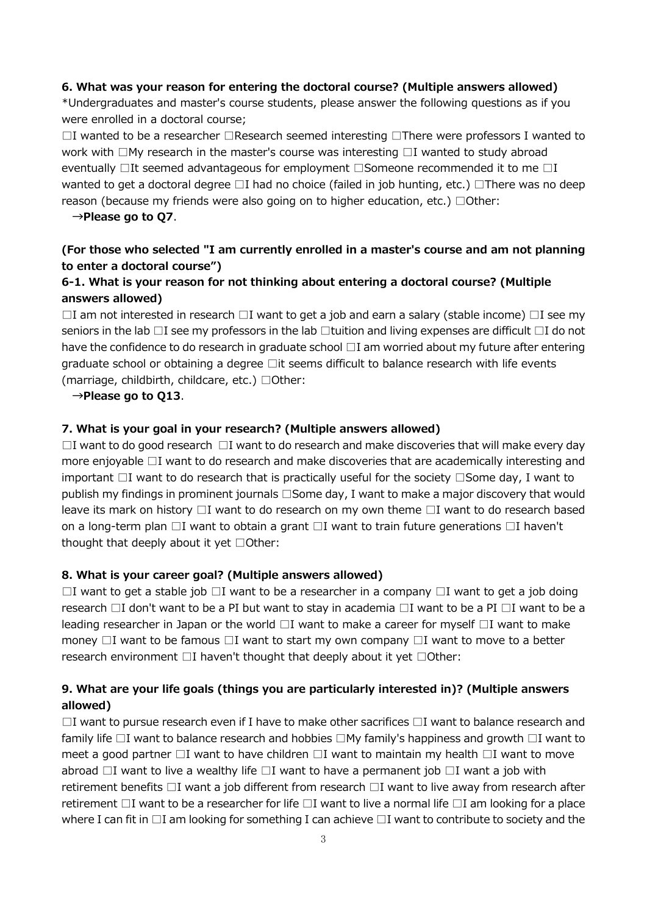#### **6. What was your reason for entering the doctoral course? (Multiple answers allowed)**

\*Undergraduates and master's course students, please answer the following questions as if you were enrolled in a doctoral course;

□I wanted to be a researcher □Research seemed interesting □There were professors I wanted to work with □My research in the master's course was interesting □I wanted to study abroad eventually □It seemed advantageous for employment □Someone recommended it to me □I wanted to get a doctoral degree □I had no choice (failed in job hunting, etc.) □There was no deep reason (because my friends were also going on to higher education, etc.)  $\Box$  Other:

**→Please go to Q7**.

# **(For those who selected "I am currently enrolled in a master's course and am not planning to enter a doctoral course")**

## **6-1. What is your reason for not thinking about entering a doctoral course? (Multiple answers allowed)**

 $\Box$ I am not interested in research  $\Box$ I want to get a job and earn a salary (stable income)  $\Box$ I see my seniors in the lab  $\Box$ I see my professors in the lab  $\Box$ tuition and living expenses are difficult  $\Box$ I do not have the confidence to do research in graduate school □I am worried about my future after entering graduate school or obtaining a degree □it seems difficult to balance research with life events (marriage, childbirth, childcare, etc.)  $\Box$ Other:

#### **→Please go to Q13**.

#### **7. What is your goal in your research? (Multiple answers allowed)**

□I want to do good research □I want to do research and make discoveries that will make every day more enjoyable □I want to do research and make discoveries that are academically interesting and important □I want to do research that is practically useful for the society □Some day, I want to publish my findings in prominent journals □Some day, I want to make a major discovery that would leave its mark on history □I want to do research on my own theme □I want to do research based on a long-term plan □I want to obtain a grant □I want to train future generations □I haven't thought that deeply about it yet □Other:

#### **8. What is your career goal? (Multiple answers allowed)**

 $\Box$ I want to get a stable job  $\Box$ I want to be a researcher in a company  $\Box$ I want to get a job doing research □I don't want to be a PI but want to stay in academia □I want to be a PI □I want to be a leading researcher in Japan or the world  $\Box I$  want to make a career for myself  $\Box I$  want to make money  $\Box$ I want to be famous  $\Box$ I want to start my own company  $\Box$ I want to move to a better research environment □I haven't thought that deeply about it yet □Other:

## **9. What are your life goals (things you are particularly interested in)? (Multiple answers allowed)**

 $\Box$ I want to pursue research even if I have to make other sacrifices  $\Box$ I want to balance research and family life □I want to balance research and hobbies □My family's happiness and growth □I want to meet a good partner  $\Box I$  want to have children  $\Box I$  want to maintain my health  $\Box I$  want to move abroad  $\Box$ I want to live a wealthy life  $\Box$ I want to have a permanent job  $\Box$ I want a job with retirement benefits □I want a job different from research □I want to live away from research after retirement □I want to be a researcher for life □I want to live a normal life □I am looking for a place where I can fit in  $\Box$ I am looking for something I can achieve  $\Box$ I want to contribute to society and the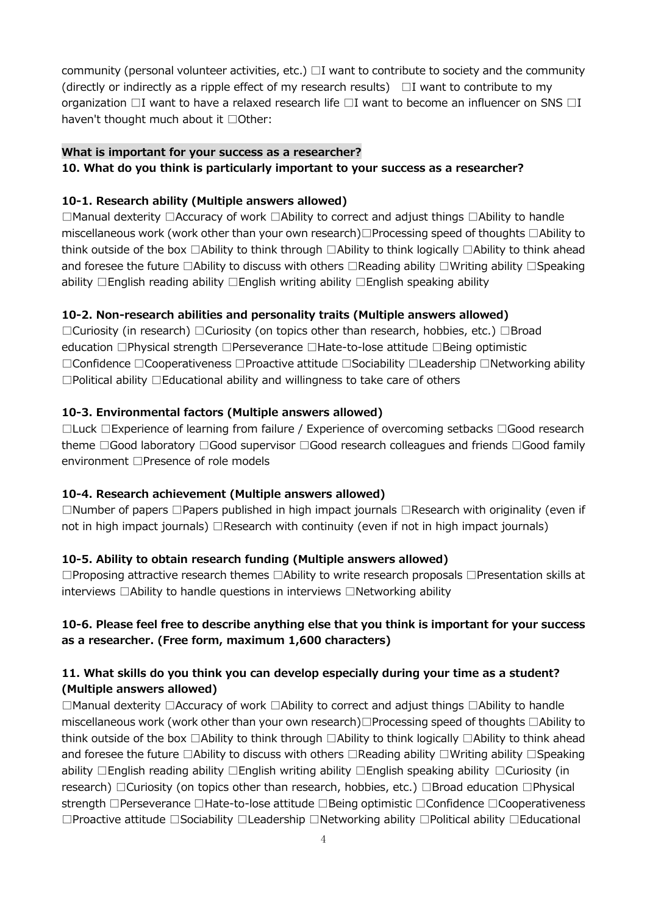community (personal volunteer activities, etc.)  $\Box I$  want to contribute to society and the community (directly or indirectly as a ripple effect of my research results)  $\Box$  I want to contribute to my organization  $\Box$ I want to have a relaxed research life  $\Box$ I want to become an influencer on SNS  $\Box$ I haven't thought much about it □Other:

#### **What is important for your success as a researcher?**

#### **10. What do you think is particularly important to your success as a researcher?**

#### **10-1. Research ability (Multiple answers allowed)**

□Manual dexterity □Accuracy of work □Ability to correct and adjust things □Ability to handle miscellaneous work (work other than your own research)□Processing speed of thoughts □Ability to think outside of the box □Ability to think through □Ability to think logically □Ability to think ahead and foresee the future □Ability to discuss with others □Reading ability □Writing ability □Speaking ability □English reading ability □English writing ability □English speaking ability

#### **10-2. Non-research abilities and personality traits (Multiple answers allowed)**

□Curiosity (in research) □Curiosity (on topics other than research, hobbies, etc.) □Broad education □Physical strength □Perseverance □Hate-to-lose attitude □Being optimistic □Confidence □Cooperativeness □Proactive attitude □Sociability □Leadership □Networking ability □Political ability □Educational ability and willingness to take care of others

#### **10-3. Environmental factors (Multiple answers allowed)**

□Luck □Experience of learning from failure / Experience of overcoming setbacks □Good research theme □Good laboratory □Good supervisor □Good research colleagues and friends □Good family environment □Presence of role models

#### **10-4. Research achievement (Multiple answers allowed)**

□Number of papers □Papers published in high impact journals □Research with originality (even if not in high impact journals) □Research with continuity (even if not in high impact journals)

#### **10-5. Ability to obtain research funding (Multiple answers allowed)**

□Proposing attractive research themes □Ability to write research proposals □Presentation skills at interviews □Ability to handle questions in interviews □Networking ability

## **10-6. Please feel free to describe anything else that you think is important for your success as a researcher. (Free form, maximum 1,600 characters)**

## **11. What skills do you think you can develop especially during your time as a student? (Multiple answers allowed)**

□Manual dexterity □Accuracy of work □Ability to correct and adjust things □Ability to handle miscellaneous work (work other than your own research)□Processing speed of thoughts □Ability to think outside of the box □Ability to think through □Ability to think logically □Ability to think ahead and foresee the future □Ability to discuss with others □Reading ability □Writing ability □Speaking ability □English reading ability □English writing ability □English speaking ability □Curiosity (in research) □Curiosity (on topics other than research, hobbies, etc.) □Broad education □Physical strength □Perseverance □Hate-to-lose attitude □Being optimistic □Confidence □Cooperativeness □Proactive attitude □Sociability □Leadership □Networking ability □Political ability □Educational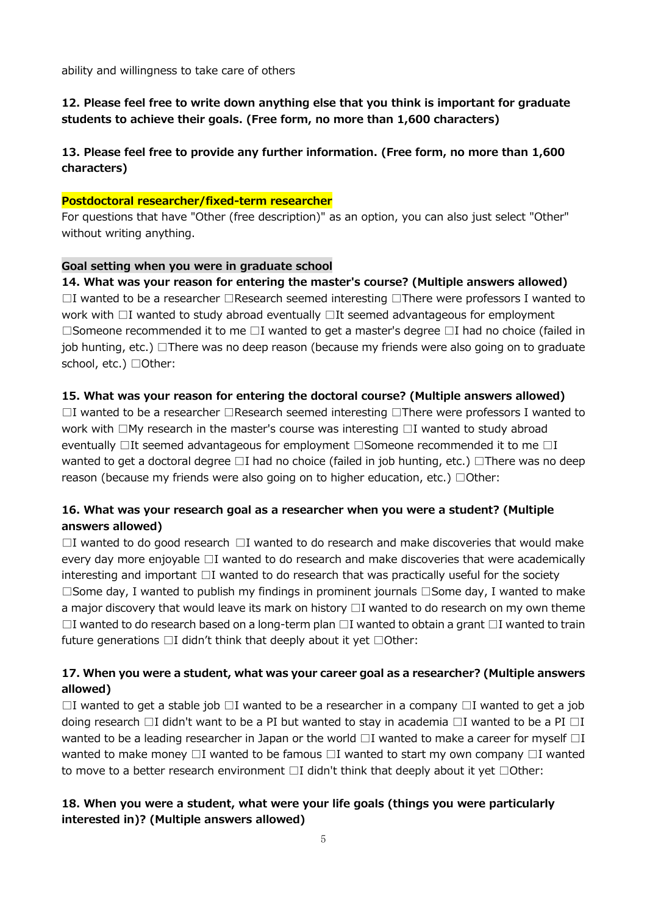ability and willingness to take care of others

# **12. Please feel free to write down anything else that you think is important for graduate students to achieve their goals. (Free form, no more than 1,600 characters)**

# **13. Please feel free to provide any further information. (Free form, no more than 1,600 characters)**

#### **Postdoctoral researcher/fixed-term researcher**

For questions that have "Other (free description)" as an option, you can also just select "Other" without writing anything.

#### **Goal setting when you were in graduate school**

#### **14. What was your reason for entering the master's course? (Multiple answers allowed)**

 $□I$  wanted to be a researcher  $□$ Research seemed interesting  $□$ There were professors I wanted to work with □I wanted to study abroad eventually □It seemed advantageous for employment □Someone recommended it to me □I wanted to get a master's degree □I had no choice (failed in job hunting, etc.) □There was no deep reason (because my friends were also going on to graduate school, etc.) □Other:

#### **15. What was your reason for entering the doctoral course? (Multiple answers allowed)**

□I wanted to be a researcher □Research seemed interesting □There were professors I wanted to work with □My research in the master's course was interesting □I wanted to study abroad eventually □It seemed advantageous for employment □Someone recommended it to me □I wanted to get a doctoral degree □I had no choice (failed in job hunting, etc.) □There was no deep reason (because my friends were also going on to higher education, etc.)  $\Box$ Other:

## **16. What was your research goal as a researcher when you were a student? (Multiple answers allowed)**

□I wanted to do good research □I wanted to do research and make discoveries that would make every day more enjoyable □I wanted to do research and make discoveries that were academically interesting and important  $\Box I$  wanted to do research that was practically useful for the society □Some day, I wanted to publish my findings in prominent journals □Some day, I wanted to make a major discovery that would leave its mark on history  $\Box$  I wanted to do research on my own theme  $□I$  wanted to do research based on a long-term plan  $□I$  wanted to obtain a grant  $□I$  wanted to train future generations  $\Box I$  didn't think that deeply about it yet  $\Box$ Other:

## **17. When you were a student, what was your career goal as a researcher? (Multiple answers allowed)**

 $□I$  wanted to get a stable job  $□I$  wanted to be a researcher in a company  $□I$  wanted to get a job doing research  $\Box I$  didn't want to be a PI but wanted to stay in academia  $\Box I$  wanted to be a PI  $\Box I$ wanted to be a leading researcher in Japan or the world  $\Box$ I wanted to make a career for myself  $\Box$ I wanted to make money  $\Box$ I wanted to be famous  $\Box$ I wanted to start my own company  $\Box$ I wanted to move to a better research environment  $\Box I$  didn't think that deeply about it yet  $\Box$ Other:

### **18. When you were a student, what were your life goals (things you were particularly interested in)? (Multiple answers allowed)**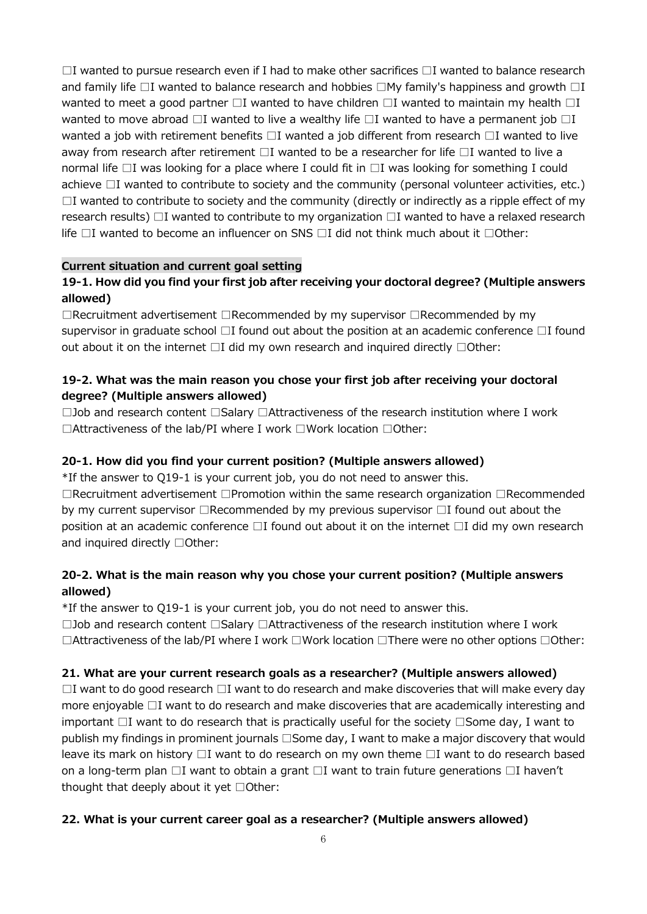$\Box$ I wanted to pursue research even if I had to make other sacrifices  $\Box$ I wanted to balance research and family life  $\Box$ I wanted to balance research and hobbies  $\Box$ My family's happiness and growth  $\Box$ I wanted to meet a good partner  $\square$ I wanted to have children  $\square$ I wanted to maintain my health  $\square$ I wanted to move abroad  $\Box$ I wanted to live a wealthy life  $\Box$ I wanted to have a permanent job  $\Box$ I wanted a job with retirement benefits □I wanted a job different from research □I wanted to live away from research after retirement □I wanted to be a researcher for life □I wanted to live a normal life □I was looking for a place where I could fit in □I was looking for something I could achieve  $\Box$ I wanted to contribute to society and the community (personal volunteer activities, etc.)  $\Box$ I wanted to contribute to society and the community (directly or indirectly as a ripple effect of my research results)  $\Box$ I wanted to contribute to my organization  $\Box$ I wanted to have a relaxed research life  $\Box$ I wanted to become an influencer on SNS  $\Box$ I did not think much about it  $\Box$ Other:

### **Current situation and current goal setting**

# **19-1. How did you find your first job after receiving your doctoral degree? (Multiple answers allowed)**

□Recruitment advertisement □Recommended by my supervisor □Recommended by my supervisor in graduate school □I found out about the position at an academic conference □I found out about it on the internet □I did my own research and inquired directly □Other:

## **19-2. What was the main reason you chose your first job after receiving your doctoral degree? (Multiple answers allowed)**

□Job and research content □Salary □Attractiveness of the research institution where I work □Attractiveness of the lab/PI where I work □Work location □Other:

## **20-1. How did you find your current position? (Multiple answers allowed)**

\*If the answer to Q19-1 is your current job, you do not need to answer this.

□Recruitment advertisement □Promotion within the same research organization □Recommended by my current supervisor □Recommended by my previous supervisor □I found out about the position at an academic conference □I found out about it on the internet □I did my own research and inquired directly □Other:

# **20-2. What is the main reason why you chose your current position? (Multiple answers allowed)**

\*If the answer to Q19-1 is your current job, you do not need to answer this.

□Job and research content □Salary □Attractiveness of the research institution where I work □Attractiveness of the lab/PI where I work □Work location □There were no other options □Other:

## **21. What are your current research goals as a researcher? (Multiple answers allowed)**

 $\Box$ I want to do good research  $\Box$ I want to do research and make discoveries that will make every day more enjoyable □I want to do research and make discoveries that are academically interesting and important □I want to do research that is practically useful for the society □Some day, I want to publish my findings in prominent journals □Some day, I want to make a major discovery that would leave its mark on history  $\Box I$  want to do research on my own theme  $\Box I$  want to do research based on a long-term plan □I want to obtain a grant □I want to train future generations □I haven't thought that deeply about it yet □Other:

#### **22. What is your current career goal as a researcher? (Multiple answers allowed)**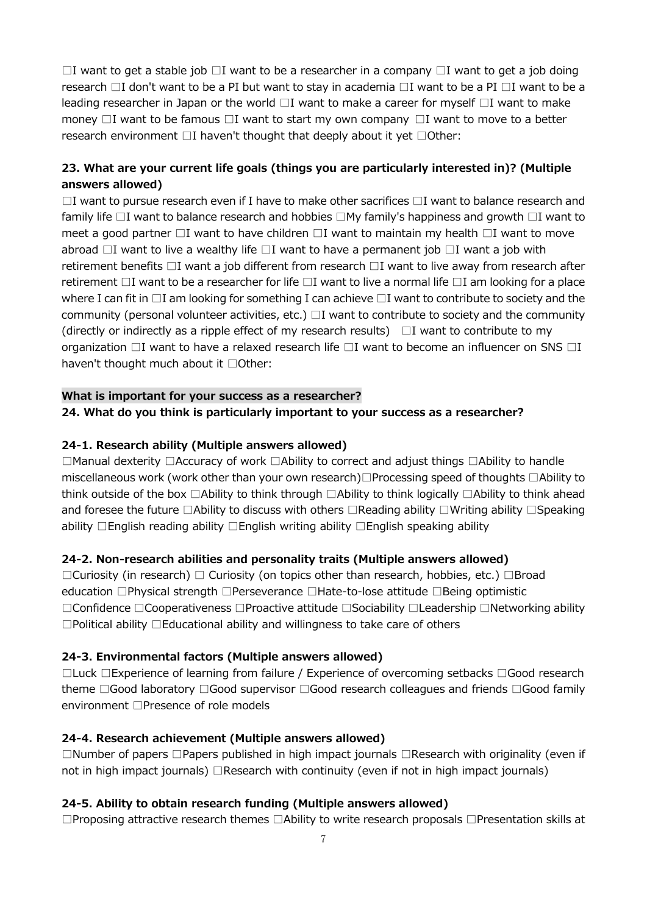$□I$  want to get a stable job  $□I$  want to be a researcher in a company  $□I$  want to get a job doing research □I don't want to be a PI but want to stay in academia □I want to be a PI □I want to be a leading researcher in Japan or the world  $\Box I$  want to make a career for myself  $\Box I$  want to make money  $\Box$ I want to be famous  $\Box$ I want to start my own company  $\Box$ I want to move to a better research environment □I haven't thought that deeply about it yet □Other:

# **23. What are your current life goals (things you are particularly interested in)? (Multiple answers allowed)**

 $\Box$ I want to pursue research even if I have to make other sacrifices  $\Box$ I want to balance research and family life □I want to balance research and hobbies □My family's happiness and growth □I want to meet a good partner  $\Box$ I want to have children  $\Box$ I want to maintain my health  $\Box$ I want to move abroad  $\Box$ I want to live a wealthy life  $\Box$ I want to have a permanent job  $\Box$ I want a job with retirement benefits □I want a job different from research □I want to live away from research after retirement □I want to be a researcher for life □I want to live a normal life □I am looking for a place where I can fit in  $\Box$ I am looking for something I can achieve  $\Box$ I want to contribute to society and the community (personal volunteer activities, etc.)  $\Box I$  want to contribute to society and the community (directly or indirectly as a ripple effect of my research results)  $\Box$  I want to contribute to my organization  $\Box$ I want to have a relaxed research life  $\Box$ I want to become an influencer on SNS  $\Box$ I haven't thought much about it □Other:

# **What is important for your success as a researcher?**

#### **24. What do you think is particularly important to your success as a researcher?**

### **24-1. Research ability (Multiple answers allowed)**

□Manual dexterity □Accuracy of work □Ability to correct and adjust things □Ability to handle miscellaneous work (work other than your own research)□Processing speed of thoughts □Ability to think outside of the box □Ability to think through □Ability to think logically □Ability to think ahead and foresee the future □Ability to discuss with others □Reading ability □Writing ability □Speaking ability □English reading ability □English writing ability □English speaking ability

#### **24-2. Non-research abilities and personality traits (Multiple answers allowed)**

□Curiosity (in research) □ Curiosity (on topics other than research, hobbies, etc.) □Broad education □Physical strength □Perseverance □Hate-to-lose attitude □Being optimistic □Confidence □Cooperativeness □Proactive attitude □Sociability □Leadership □Networking ability □Political ability □Educational ability and willingness to take care of others

#### **24-3. Environmental factors (Multiple answers allowed)**

□Luck □Experience of learning from failure / Experience of overcoming setbacks □Good research theme □Good laboratory □Good supervisor □Good research colleagues and friends □Good family environment □Presence of role models

#### **24-4. Research achievement (Multiple answers allowed)**

□Number of papers □Papers published in high impact journals □Research with originality (even if not in high impact journals) □Research with continuity (even if not in high impact journals)

#### **24-5. Ability to obtain research funding (Multiple answers allowed)**

□Proposing attractive research themes □Ability to write research proposals □Presentation skills at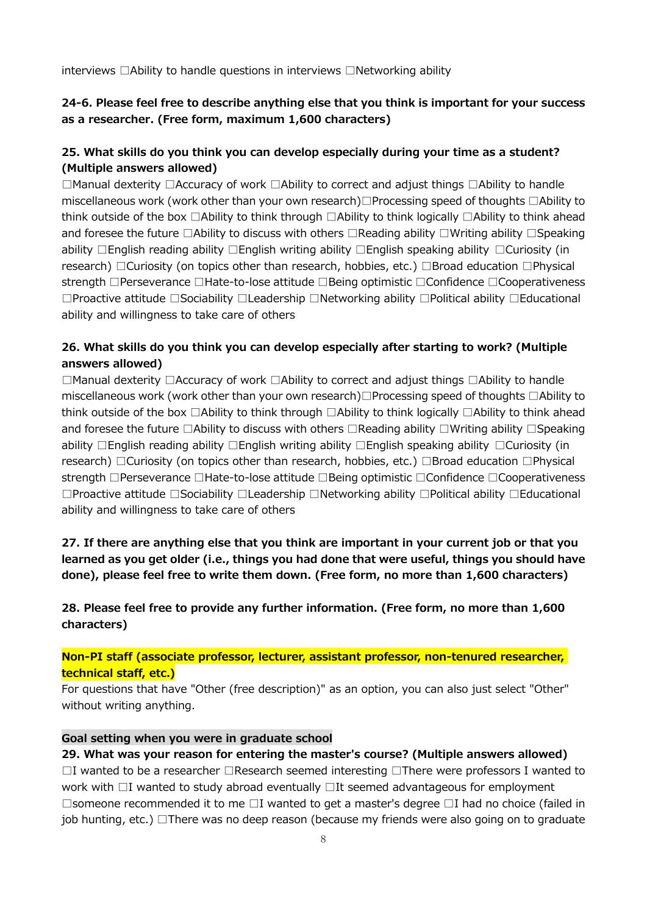interviews □Ability to handle questions in interviews □Networking ability

## **24-6. Please feel free to describe anything else that you think is important for your success as a researcher. (Free form, maximum 1,600 characters)**

# **25. What skills do you think you can develop especially during your time as a student? (Multiple answers allowed)**

□Manual dexterity □Accuracy of work □Ability to correct and adjust things □Ability to handle miscellaneous work (work other than your own research)□Processing speed of thoughts □Ability to think outside of the box □Ability to think through □Ability to think logically □Ability to think ahead and foresee the future □Ability to discuss with others □Reading ability □Writing ability □Speaking ability □English reading ability □English writing ability □English speaking ability □Curiosity (in research) □Curiosity (on topics other than research, hobbies, etc.) □Broad education □Physical strength □Perseverance □Hate-to-lose attitude □Being optimistic □Confidence □Cooperativeness □Proactive attitude □Sociability □Leadership □Networking ability □Political ability □Educational ability and willingness to take care of others

# **26. What skills do you think you can develop especially after starting to work? (Multiple answers allowed)**

□Manual dexterity □Accuracy of work □Ability to correct and adjust things □Ability to handle miscellaneous work (work other than your own research)□Processing speed of thoughts □Ability to think outside of the box □Ability to think through □Ability to think logically □Ability to think ahead and foresee the future □Ability to discuss with others □Reading ability □Writing ability □Speaking ability □English reading ability □English writing ability □English speaking ability □Curiosity (in research) □Curiosity (on topics other than research, hobbies, etc.) □Broad education □Physical strength □Perseverance □Hate-to-lose attitude □Being optimistic □Confidence □Cooperativeness □Proactive attitude □Sociability □Leadership □Networking ability □Political ability □Educational ability and willingness to take care of others

**27. If there are anything else that you think are important in your current job or that you learned as you get older (i.e., things you had done that were useful, things you should have done), please feel free to write them down. (Free form, no more than 1,600 characters)**

**28. Please feel free to provide any further information. (Free form, no more than 1,600 characters)**

### **Non-PI staff (associate professor, lecturer, assistant professor, non-tenured researcher, technical staff, etc.)**

For questions that have "Other (free description)" as an option, you can also just select "Other" without writing anything.

#### **Goal setting when you were in graduate school**

**29. What was your reason for entering the master's course? (Multiple answers allowed)** □I wanted to be a researcher □Research seemed interesting □There were professors I wanted to work with □I wanted to study abroad eventually □It seemed advantageous for employment □someone recommended it to me □I wanted to get a master's degree □I had no choice (failed in job hunting, etc.) □There was no deep reason (because my friends were also going on to graduate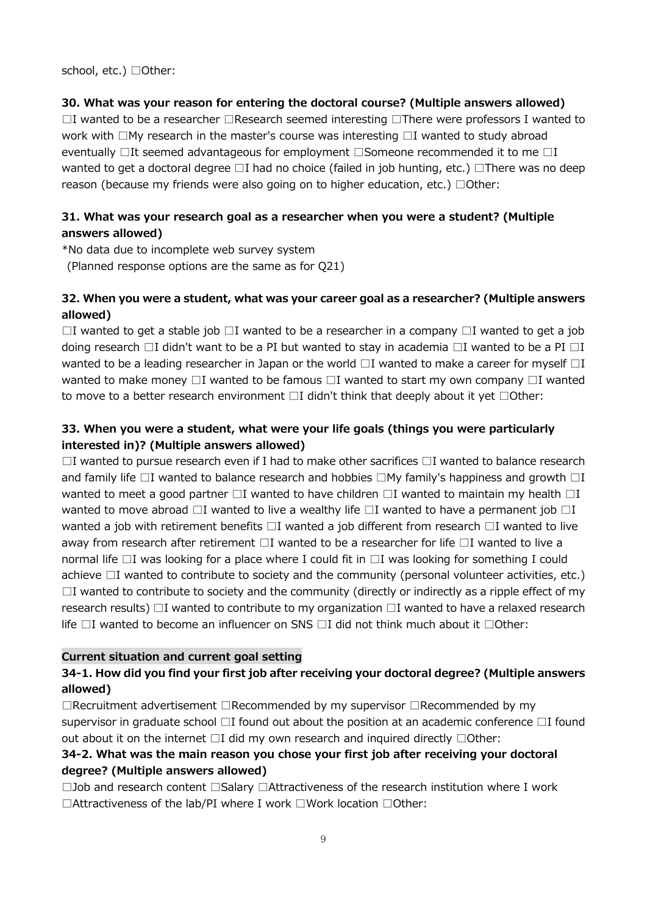school, etc.) □Other:

### **30. What was your reason for entering the doctoral course? (Multiple answers allowed)**

 $□I$  wanted to be a researcher  $□$ Research seemed interesting  $□$ There were professors I wanted to work with □My research in the master's course was interesting □I wanted to study abroad eventually □It seemed advantageous for employment □Someone recommended it to me □I wanted to get a doctoral degree □I had no choice (failed in job hunting, etc.) □There was no deep reason (because my friends were also going on to higher education, etc.)  $\Box$ Other:

# **31. What was your research goal as a researcher when you were a student? (Multiple answers allowed)**

\*No data due to incomplete web survey system

(Planned response options are the same as for Q21)

# **32. When you were a student, what was your career goal as a researcher? (Multiple answers allowed)**

 $□I$  wanted to get a stable job  $□I$  wanted to be a researcher in a company  $□I$  wanted to get a job doing research  $\Box I$  didn't want to be a PI but wanted to stay in academia  $\Box I$  wanted to be a PI  $\Box I$ wanted to be a leading researcher in Japan or the world  $\Box$ I wanted to make a career for myself  $\Box$ I wanted to make money  $\Box$ I wanted to be famous  $\Box$ I wanted to start my own company  $\Box$ I wanted to move to a better research environment □I didn't think that deeply about it yet □Other:

# **33. When you were a student, what were your life goals (things you were particularly interested in)? (Multiple answers allowed)**

 $\Box$ I wanted to pursue research even if I had to make other sacrifices  $\Box$ I wanted to balance research and family life  $\Box$ I wanted to balance research and hobbies  $\Box$ My family's happiness and growth  $\Box$ I wanted to meet a good partner  $\Box$ I wanted to have children  $\Box$ I wanted to maintain my health  $\Box$ I wanted to move abroad  $\Box$ I wanted to live a wealthy life  $\Box$ I wanted to have a permanent job  $\Box$ I wanted a job with retirement benefits □I wanted a job different from research □I wanted to live away from research after retirement □I wanted to be a researcher for life □I wanted to live a normal life □I was looking for a place where I could fit in □I was looking for something I could achieve □I wanted to contribute to society and the community (personal volunteer activities, etc.)  $\Box$ I wanted to contribute to society and the community (directly or indirectly as a ripple effect of my research results) □I wanted to contribute to my organization □I wanted to have a relaxed research life  $\Box$ I wanted to become an influencer on SNS  $\Box$ I did not think much about it  $\Box$ Other:

## **Current situation and current goal setting**

## **34-1. How did you find your first job after receiving your doctoral degree? (Multiple answers allowed)**

□Recruitment advertisement □Recommended by my supervisor □Recommended by my supervisor in graduate school  $\Box$ I found out about the position at an academic conference  $\Box$ I found out about it on the internet □I did my own research and inquired directly □Other:

# **34-2. What was the main reason you chose your first job after receiving your doctoral degree? (Multiple answers allowed)**

□Job and research content □Salary □Attractiveness of the research institution where I work □Attractiveness of the lab/PI where I work □Work location □Other: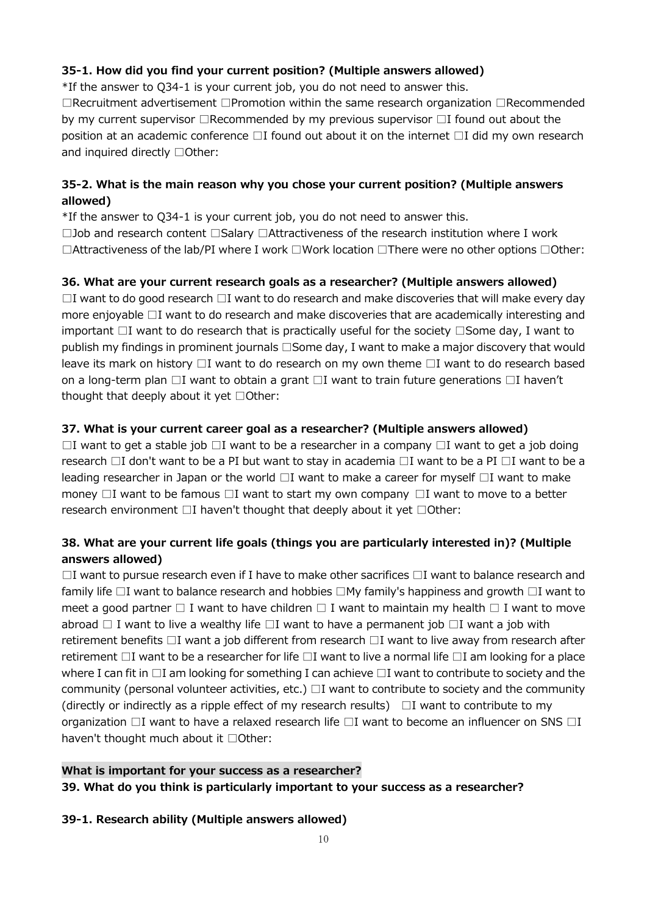# **35-1. How did you find your current position? (Multiple answers allowed)**

\*If the answer to Q34-1 is your current job, you do not need to answer this.

□Recruitment advertisement □Promotion within the same research organization □Recommended by my current supervisor □Recommended by my previous supervisor □I found out about the position at an academic conference □I found out about it on the internet □I did my own research and inquired directly □Other:

# **35-2. What is the main reason why you chose your current position? (Multiple answers allowed)**

\*If the answer to Q34-1 is your current job, you do not need to answer this.

□Job and research content □Salary □Attractiveness of the research institution where I work □Attractiveness of the lab/PI where I work □Work location □There were no other options □Other:

# **36. What are your current research goals as a researcher? (Multiple answers allowed)**

 $\Box$ I want to do good research  $\Box$ I want to do research and make discoveries that will make every day more enjoyable □I want to do research and make discoveries that are academically interesting and important □I want to do research that is practically useful for the society □Some day, I want to publish my findings in prominent journals □Some day, I want to make a major discovery that would leave its mark on history  $\Box I$  want to do research on my own theme  $\Box I$  want to do research based on a long-term plan □I want to obtain a grant □I want to train future generations □I haven't thought that deeply about it yet □Other:

# **37. What is your current career goal as a researcher? (Multiple answers allowed)**

 $\Box$ I want to get a stable job  $\Box$ I want to be a researcher in a company  $\Box$ I want to get a job doing research □I don't want to be a PI but want to stay in academia □I want to be a PI □I want to be a leading researcher in Japan or the world  $\Box I$  want to make a career for myself  $\Box I$  want to make money  $\Box$ I want to be famous  $\Box$ I want to start my own company  $\Box$ I want to move to a better research environment □I haven't thought that deeply about it yet □Other:

# **38. What are your current life goals (things you are particularly interested in)? (Multiple answers allowed)**

 $\Box$ I want to pursue research even if I have to make other sacrifices  $\Box$ I want to balance research and family life □I want to balance research and hobbies □My family's happiness and growth □I want to meet a good partner  $\Box$  I want to have children  $\Box$  I want to maintain my health  $\Box$  I want to move abroad  $\Box$  I want to live a wealthy life  $\Box I$  want to have a permanent job  $\Box I$  want a job with retirement benefits □I want a job different from research □I want to live away from research after retirement □I want to be a researcher for life □I want to live a normal life □I am looking for a place where I can fit in  $\Box$ I am looking for something I can achieve  $\Box$ I want to contribute to society and the community (personal volunteer activities, etc.)  $\Box$ I want to contribute to society and the community (directly or indirectly as a ripple effect of my research results)  $\Box$  I want to contribute to my organization  $\Box$ I want to have a relaxed research life  $\Box$ I want to become an influencer on SNS  $\Box$ I haven't thought much about it □Other:

# **What is important for your success as a researcher? 39. What do you think is particularly important to your success as a researcher?**

## **39-1. Research ability (Multiple answers allowed)**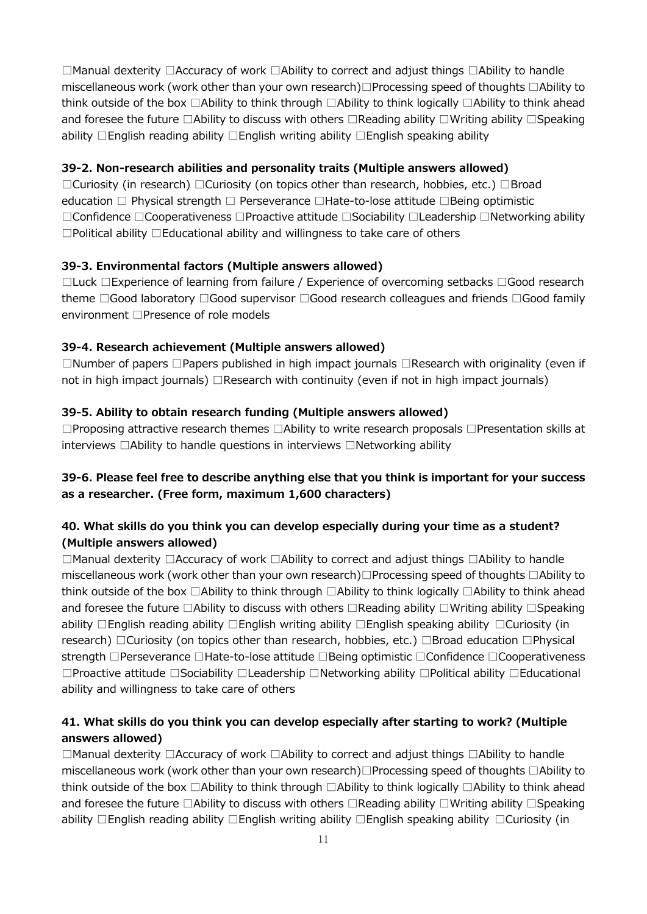□Manual dexterity □Accuracy of work □Ability to correct and adjust things □Ability to handle miscellaneous work (work other than your own research)□Processing speed of thoughts □Ability to think outside of the box □Ability to think through □Ability to think logically □Ability to think ahead and foresee the future □Ability to discuss with others □Reading ability □Writing ability □Speaking ability □English reading ability □English writing ability □English speaking ability

#### **39-2. Non-research abilities and personality traits (Multiple answers allowed)**

□Curiosity (in research) □Curiosity (on topics other than research, hobbies, etc.) □Broad education □ Physical strength □ Perseverance □Hate-to-lose attitude □Being optimistic □Confidence □Cooperativeness □Proactive attitude □Sociability □Leadership □Networking ability □Political ability □Educational ability and willingness to take care of others

#### **39-3. Environmental factors (Multiple answers allowed)**

□Luck □Experience of learning from failure / Experience of overcoming setbacks □Good research theme □Good laboratory □Good supervisor □Good research colleagues and friends □Good family environment □Presence of role models

#### **39-4. Research achievement (Multiple answers allowed)**

□Number of papers □Papers published in high impact journals □Research with originality (even if not in high impact journals) □Research with continuity (even if not in high impact journals)

### **39-5. Ability to obtain research funding (Multiple answers allowed)**

□Proposing attractive research themes □Ability to write research proposals □Presentation skills at interviews □Ability to handle questions in interviews □Networking ability

# **39-6. Please feel free to describe anything else that you think is important for your success as a researcher. (Free form, maximum 1,600 characters)**

# **40. What skills do you think you can develop especially during your time as a student? (Multiple answers allowed)**

□Manual dexterity □Accuracy of work □Ability to correct and adjust things □Ability to handle miscellaneous work (work other than your own research)□Processing speed of thoughts □Ability to think outside of the box □Ability to think through □Ability to think logically □Ability to think ahead and foresee the future □Ability to discuss with others □Reading ability □Writing ability □Speaking ability □English reading ability □English writing ability □English speaking ability □Curiosity (in research) □Curiosity (on topics other than research, hobbies, etc.) □Broad education □Physical strength □Perseverance □Hate-to-lose attitude □Being optimistic □Confidence □Cooperativeness □Proactive attitude □Sociability □Leadership □Networking ability □Political ability □Educational ability and willingness to take care of others

## **41. What skills do you think you can develop especially after starting to work? (Multiple answers allowed)**

□Manual dexterity □Accuracy of work □Ability to correct and adjust things □Ability to handle miscellaneous work (work other than your own research)□Processing speed of thoughts □Ability to think outside of the box □Ability to think through □Ability to think logically □Ability to think ahead and foresee the future □Ability to discuss with others □Reading ability □Writing ability □Speaking ability □English reading ability □English writing ability □English speaking ability □Curiosity (in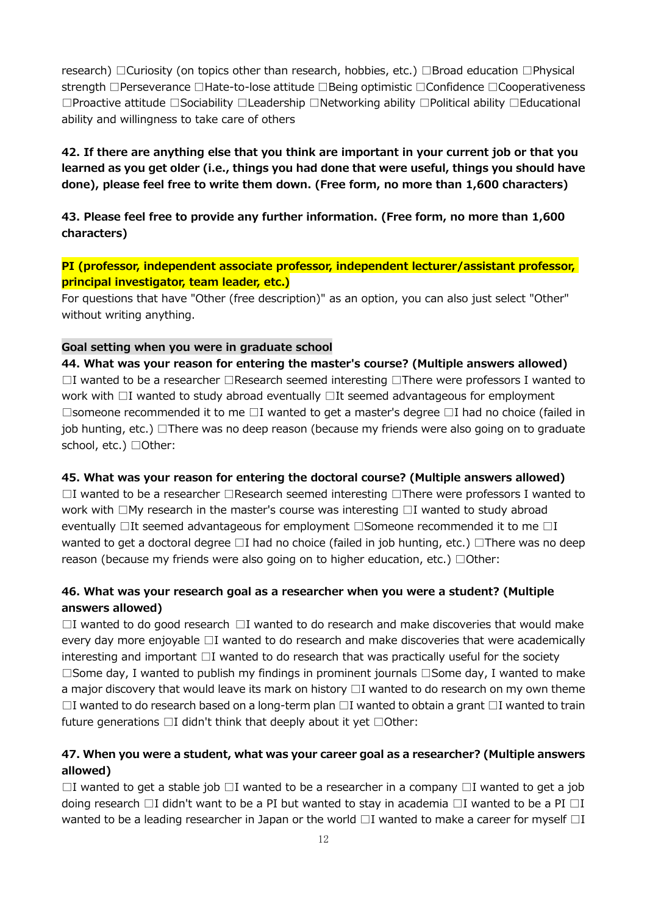research) □Curiosity (on topics other than research, hobbies, etc.) □Broad education □Physical strength □Perseverance □Hate-to-lose attitude □Being optimistic □Confidence □Cooperativeness □Proactive attitude □Sociability □Leadership □Networking ability □Political ability □Educational ability and willingness to take care of others

**42. If there are anything else that you think are important in your current job or that you learned as you get older (i.e., things you had done that were useful, things you should have done), please feel free to write them down. (Free form, no more than 1,600 characters)**

**43. Please feel free to provide any further information. (Free form, no more than 1,600 characters)**

**PI (professor, independent associate professor, independent lecturer/assistant professor, principal investigator, team leader, etc.)**

For questions that have "Other (free description)" as an option, you can also just select "Other" without writing anything.

#### **Goal setting when you were in graduate school**

**44. What was your reason for entering the master's course? (Multiple answers allowed)** □I wanted to be a researcher □Research seemed interesting □There were professors I wanted to work with □I wanted to study abroad eventually □It seemed advantageous for employment □someone recommended it to me □I wanted to get a master's degree □I had no choice (failed in job hunting, etc.) □There was no deep reason (because my friends were also going on to graduate school, etc.) □Other:

#### **45. What was your reason for entering the doctoral course? (Multiple answers allowed)**

□I wanted to be a researcher □Research seemed interesting □There were professors I wanted to work with □My research in the master's course was interesting □I wanted to study abroad eventually □It seemed advantageous for employment □Someone recommended it to me □I wanted to get a doctoral degree □I had no choice (failed in job hunting, etc.) □There was no deep reason (because my friends were also going on to higher education, etc.)  $\Box$ Other:

## **46. What was your research goal as a researcher when you were a student? (Multiple answers allowed)**

 $\Box$ I wanted to do good research  $\Box$ I wanted to do research and make discoveries that would make every day more enjoyable □I wanted to do research and make discoveries that were academically interesting and important □I wanted to do research that was practically useful for the society □Some day, I wanted to publish my findings in prominent journals □Some day, I wanted to make a major discovery that would leave its mark on history  $\Box$  I wanted to do research on my own theme  $□I$  wanted to do research based on a long-term plan  $□I$  wanted to obtain a grant  $□I$  wanted to train future generations  $\Box I$  didn't think that deeply about it yet  $\Box$ Other:

### **47. When you were a student, what was your career goal as a researcher? (Multiple answers allowed)**

 $□I$  wanted to get a stable job  $□I$  wanted to be a researcher in a company  $□I$  wanted to get a job doing research  $\Box I$  didn't want to be a PI but wanted to stay in academia  $\Box I$  wanted to be a PI  $\Box I$ wanted to be a leading researcher in Japan or the world  $\Box$ I wanted to make a career for myself  $\Box$ I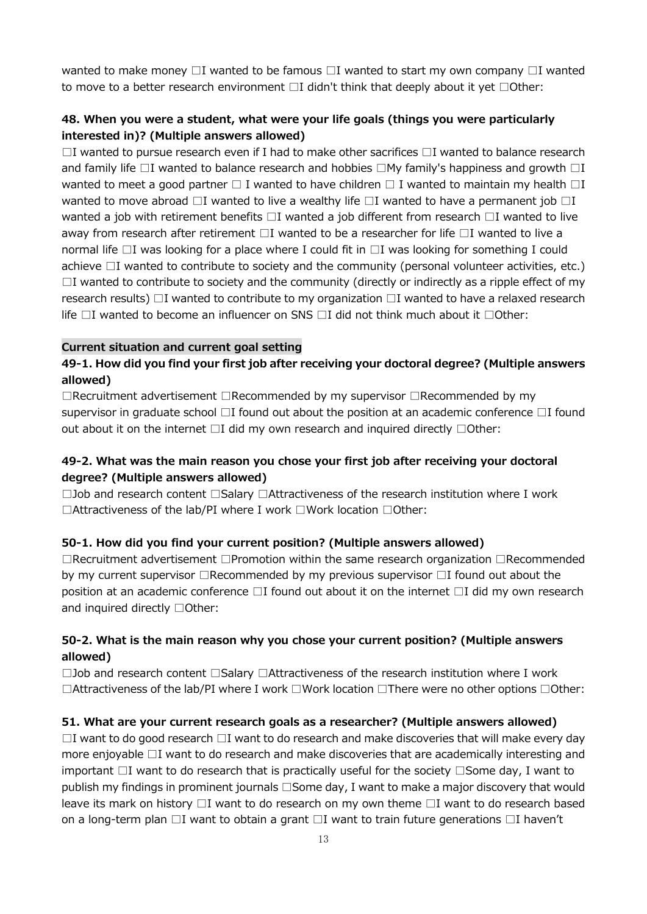wanted to make money  $\Box$ I wanted to be famous  $\Box$ I wanted to start my own company  $\Box$ I wanted to move to a better research environment  $\Box I$  didn't think that deeply about it yet  $\Box$ Other:

#### **48. When you were a student, what were your life goals (things you were particularly interested in)? (Multiple answers allowed)**

 $\Box$ I wanted to pursue research even if I had to make other sacrifices  $\Box$ I wanted to balance research and family life  $\Box$ I wanted to balance research and hobbies  $\Box$ My family's happiness and growth  $\Box$ I wanted to meet a good partner  $\square$  I wanted to have children  $\square$  I wanted to maintain my health  $\square$ I wanted to move abroad  $\Box$ I wanted to live a wealthy life  $\Box$ I wanted to have a permanent job  $\Box$ I wanted a job with retirement benefits  $\square$ I wanted a job different from research  $\square$ I wanted to live away from research after retirement □I wanted to be a researcher for life □I wanted to live a normal life □I was looking for a place where I could fit in □I was looking for something I could achieve □I wanted to contribute to society and the community (personal volunteer activities, etc.)  $\Box$ I wanted to contribute to society and the community (directly or indirectly as a ripple effect of my research results) □I wanted to contribute to my organization □I wanted to have a relaxed research life □I wanted to become an influencer on SNS □I did not think much about it □Other:

#### **Current situation and current goal setting**

### **49-1. How did you find your first job after receiving your doctoral degree? (Multiple answers allowed)**

□Recruitment advertisement □Recommended by my supervisor □Recommended by my supervisor in graduate school  $\Box$ I found out about the position at an academic conference  $\Box$ I found out about it on the internet □I did my own research and inquired directly □Other:

### **49-2. What was the main reason you chose your first job after receiving your doctoral degree? (Multiple answers allowed)**

□Job and research content □Salary □Attractiveness of the research institution where I work □Attractiveness of the lab/PI where I work □Work location □Other:

#### **50-1. How did you find your current position? (Multiple answers allowed)**

□Recruitment advertisement □Promotion within the same research organization □Recommended by my current supervisor □Recommended by my previous supervisor □I found out about the position at an academic conference □I found out about it on the internet □I did my own research and inquired directly □Other:

#### **50-2. What is the main reason why you chose your current position? (Multiple answers allowed)**

□Job and research content □Salary □Attractiveness of the research institution where I work □Attractiveness of the lab/PI where I work □Work location □There were no other options □Other:

#### **51. What are your current research goals as a researcher? (Multiple answers allowed)**

 $\Box$ I want to do good research  $\Box$ I want to do research and make discoveries that will make every day more enjoyable □I want to do research and make discoveries that are academically interesting and important □I want to do research that is practically useful for the society □Some day, I want to publish my findings in prominent journals □Some day, I want to make a major discovery that would leave its mark on history  $\Box I$  want to do research on my own theme  $\Box I$  want to do research based on a long-term plan □I want to obtain a grant □I want to train future generations □I haven't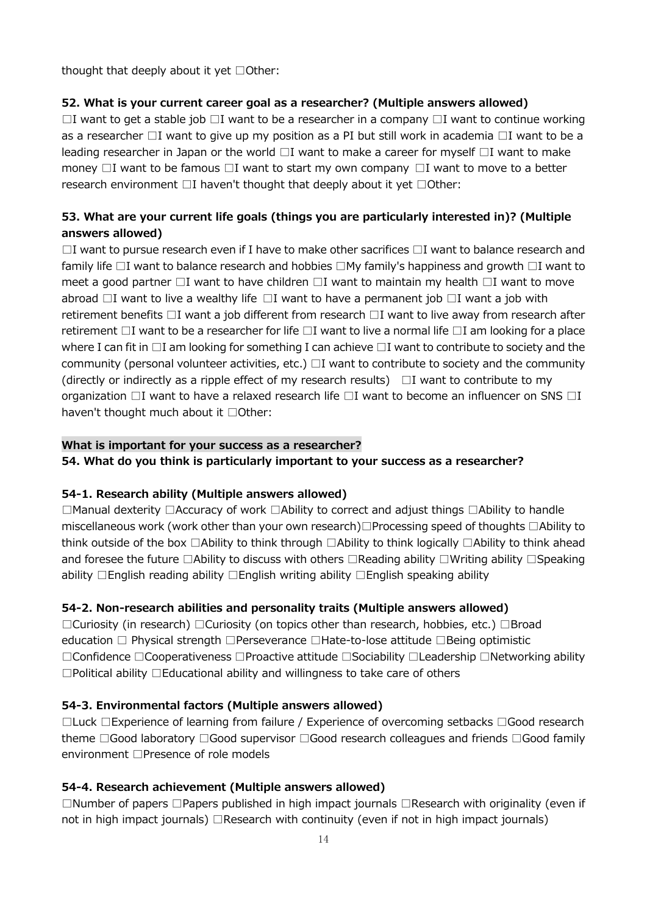thought that deeply about it yet □Other:

#### **52. What is your current career goal as a researcher? (Multiple answers allowed)**

 $\square$ I want to get a stable job  $\square$ I want to be a researcher in a company  $\square$ I want to continue working as a researcher □I want to give up my position as a PI but still work in academia □I want to be a leading researcher in Japan or the world  $\Box I$  want to make a career for myself  $\Box I$  want to make money  $\Box$ I want to be famous  $\Box$ I want to start my own company  $\Box$ I want to move to a better research environment  $\square$ I haven't thought that deeply about it yet  $\square$ Other:

## **53. What are your current life goals (things you are particularly interested in)? (Multiple answers allowed)**

 $\Box$ I want to pursue research even if I have to make other sacrifices  $\Box$ I want to balance research and family life □I want to balance research and hobbies □My family's happiness and growth □I want to meet a good partner  $\Box$ I want to have children  $\Box$ I want to maintain my health  $\Box$ I want to move abroad  $\Box$ I want to live a wealthy life  $\Box$ I want to have a permanent job  $\Box$ I want a job with retirement benefits □I want a job different from research □I want to live away from research after retirement □I want to be a researcher for life □I want to live a normal life □I am looking for a place where I can fit in  $\Box$ I am looking for something I can achieve  $\Box$ I want to contribute to society and the community (personal volunteer activities, etc.)  $\Box I$  want to contribute to society and the community (directly or indirectly as a ripple effect of my research results)  $\Box$  I want to contribute to my organization □I want to have a relaxed research life □I want to become an influencer on SNS □I haven't thought much about it □Other:

#### **What is important for your success as a researcher?**

**54. What do you think is particularly important to your success as a researcher?**

#### **54-1. Research ability (Multiple answers allowed)**

□Manual dexterity □Accuracy of work □Ability to correct and adjust things □Ability to handle miscellaneous work (work other than your own research)□Processing speed of thoughts □Ability to think outside of the box □Ability to think through □Ability to think logically □Ability to think ahead and foresee the future □Ability to discuss with others □Reading ability □Writing ability □Speaking ability □English reading ability □English writing ability □English speaking ability

#### **54-2. Non-research abilities and personality traits (Multiple answers allowed)**

□Curiosity (in research) □Curiosity (on topics other than research, hobbies, etc.) □Broad education □ Physical strength □Perseverance □Hate-to-lose attitude □Being optimistic □Confidence □Cooperativeness □Proactive attitude □Sociability □Leadership □Networking ability □Political ability □Educational ability and willingness to take care of others

#### **54-3. Environmental factors (Multiple answers allowed)**

□Luck □Experience of learning from failure / Experience of overcoming setbacks □Good research theme □Good laboratory □Good supervisor □Good research colleagues and friends □Good family environment □Presence of role models

#### **54-4. Research achievement (Multiple answers allowed)**

□Number of papers □Papers published in high impact journals □Research with originality (even if not in high impact journals) □Research with continuity (even if not in high impact journals)